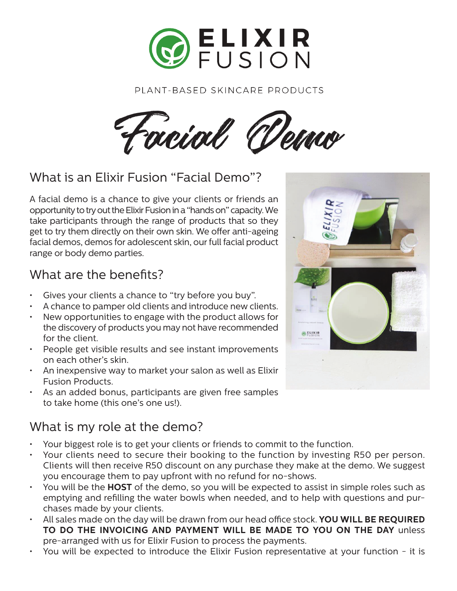

#### PLANT-BASED SKINCARE PRODUCTS

Facial Demo

## What is an Elixir Fusion "Facial Demo"?

A facial demo is a chance to give your clients or friends an opportunity to try out the Elixir Fusion in a "hands on" capacity. We take participants through the range of products that so they get to try them directly on their own skin. We offer anti-ageing facial demos, demos for adolescent skin, our full facial product range or body demo parties.

#### What are the benefits?

- Gives your clients a chance to "try before you buy".
- A chance to pamper old clients and introduce new clients.
- New opportunities to engage with the product allows for the discovery of products you may not have recommended for the client.
- People get visible results and see instant improvements on each other's skin.
- An inexpensive way to market your salon as well as Elixir Fusion Products.
- As an added bonus, participants are given free samples to take home (this one's one us!).

# What is my role at the demo?

- Your biggest role is to get your clients or friends to commit to the function.
- Your clients need to secure their booking to the function by investing R50 per person. Clients will then receive R50 discount on any purchase they make at the demo. We suggest you encourage them to pay upfront with no refund for no-shows.
- You will be the **HOST** of the demo, so you will be expected to assist in simple roles such as emptying and refilling the water bowls when needed, and to help with questions and purchases made by your clients.
- All sales made on the day will be drawn from our head office stock. **YOU WILL BE REQUIRED TO DO THE INVOICING AND PAYMENT WILL BE MADE TO YOU ON THE DAY** unless pre-arranged with us for Elixir Fusion to process the payments.
- You will be expected to introduce the Elixir Fusion representative at your function it is